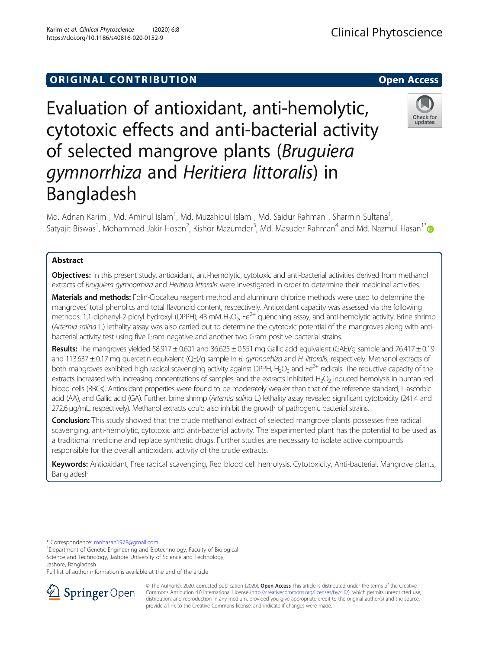# **ORIGINAL CONTRIBUTION CONTRIBUTION**

Evaluation of antioxidant, anti-hemolytic, cytotoxic effects and anti-bacterial activity of selected mangrove plants (Bruguiera gymnorrhiza and Heritiera littoralis) in Bangladesh

Md. Adnan Karim<sup>1</sup>, Md. Aminul Islam<sup>1</sup>, Md. Muzahidul Islam<sup>1</sup>, Md. Saidur Rahman<sup>1</sup>, Sharmin Sultana<sup>1</sup> , Satyajit Biswas<sup>1</sup>, Mohammad Jakir Hosen<sup>2</sup>, Kishor Mazumder<sup>3</sup>, Md. Masuder Rahman<sup>4</sup> and Md. Nazmul Hasan<sup>1\*</sup>

## Abstract

Objectives: In this present study, antioxidant, anti-hemolytic, cytotoxic and anti-bacterial activities derived from methanol extracts of Bruquiera gymnorrhiza and Heritiera littoralis were investigated in order to determine their medicinal activities.

Materials and methods: Folin-Ciocalteu reagent method and aluminum chloride methods were used to determine the mangroves' total phenolics and total flavonoid content, respectively. Antioxidant capacity was assessed via the following methods: 1,1-diphenyl-2-picryl hydroxyl (DPPH), 43 mM H<sub>2</sub>O<sub>2</sub>, Fe<sup>2+</sup> quenching assay, and anti-hemolytic activity. Brine shrimp (Artemia salina L.) lethality assay was also carried out to determine the cytotoxic potential of the mangroves along with antibacterial activity test using five Gram-negative and another two Gram-positive bacterial strains.

Results: The mangroves yielded 58.917  $\pm$  0.601 and 36.625  $\pm$  0.551 mg Gallic acid equivalent (GAE)/g sample and 76.417  $\pm$  0.19 and 113.637 ± 0.17 mg quercetin equivalent (QE)/g sample in B. gymnorrhiza and H. littoralis, respectively. Methanol extracts of both mangroves exhibited high radical scavenging activity against DPPH,  $H_2O_2$  and Fe<sup>2+</sup> radicals. The reductive capacity of the extracts increased with increasing concentrations of samples, and the extracts inhibited  $H_2O_2$  induced hemolysis in human red blood cells (RBCs). Antioxidant properties were found to be moderately weaker than that of the reference standard, L-ascorbic acid (AA), and Gallic acid (GA). Further, brine shrimp (Artemia salina L.) lethality assay revealed significant cytotoxicity (241.4 and 272.6 μg/mL, respectively). Methanol extracts could also inhibit the growth of pathogenic bacterial strains.

**Conclusion:** This study showed that the crude methanol extract of selected mangrove plants possesses free radical scavenging, anti-hemolytic, cytotoxic and anti-bacterial activity. The experimented plant has the potential to be used as a traditional medicine and replace synthetic drugs. Further studies are necessary to isolate active compounds responsible for the overall antioxidant activity of the crude extracts.

Keywords: Antioxidant, Free radical scavenging, Red blood cell hemolysis, Cytotoxicity, Anti-bacterial, Mangrove plants, Bangladesh

\* Correspondence: [mnhasan1978@gmail.com](mailto:mnhasan1978@gmail.com) <sup>1</sup>

Full list of author information is available at the end of the article



© The Author(s). 2020, corrected publication [2020]. Open Access This article is distributed under the terms of the Creative Commons Attribution 4.0 International License [\(http://creativecommons.org/licenses/by/4.0/](http://creativecommons.org/licenses/by/4.0/)), which permits unrestricted use, distribution, and reproduction in any medium, provided you give appropriate credit to the original author(s) and the source, provide a link to the Creative Commons license, and indicate if changes were made.





<sup>&</sup>lt;sup>1</sup>Department of Genetic Engineering and Biotechnology, Faculty of Biological Science and Technology, Jashore University of Science and Technology, Jashore, Bangladesh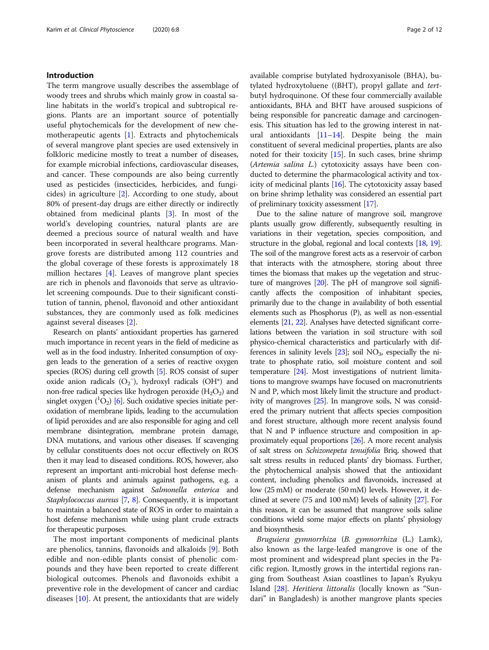## Introduction

The term mangrove usually describes the assemblage of woody trees and shrubs which mainly grow in coastal saline habitats in the world's tropical and subtropical regions. Plants are an important source of potentially useful phytochemicals for the development of new chemotherapeutic agents [[1\]](#page-10-0). Extracts and phytochemicals of several mangrove plant species are used extensively in folkloric medicine mostly to treat a number of diseases, for example microbial infections, cardiovascular diseases, and cancer. These compounds are also being currently used as pesticides (insecticides, herbicides, and fungicides) in agriculture [[2](#page-10-0)]. According to one study, about 80% of present-day drugs are either directly or indirectly obtained from medicinal plants [[3\]](#page-10-0). In most of the world's developing countries, natural plants are are deemed a precious source of natural wealth and have been incorporated in several healthcare programs. Mangrove forests are distributed among 112 countries and the global coverage of these forests is approximately 18 million hectares [[4\]](#page-10-0). Leaves of mangrove plant species are rich in phenols and flavonoids that serve as ultraviolet screening compounds. Due to their significant constitution of tannin, phenol, flavonoid and other antioxidant substances, they are commonly used as folk medicines against several diseases [\[2](#page-10-0)].

Research on plants' antioxidant properties has garnered much importance in recent years in the field of medicine as well as in the food industry. Inherited consumption of oxygen leads to the generation of a series of reactive oxygen species (ROS) during cell growth [[5](#page-10-0)]. ROS consist of super oxide anion radicals  $(O_2^-)$ , hydroxyl radicals  $(OH^*)$  and non-free radical species like hydrogen peroxide  $(H_2O_2)$  and singlet oxygen  $({}^{1}O_{2})$  [[6\]](#page-10-0). Such oxidative species initiate peroxidation of membrane lipids, leading to the accumulation of lipid peroxides and are also responsible for aging and cell membrane disintegration, membrane protein damage, DNA mutations, and various other diseases. If scavenging by cellular constituents does not occur effectively on ROS then it may lead to diseased conditions. ROS, however, also represent an important anti-microbial host defense mechanism of plants and animals against pathogens, e.g. a defense mechanism against Salmonella enterica and Staphylococcus aureus [[7](#page-10-0), [8\]](#page-10-0). Consequently, it is important to maintain a balanced state of ROS in order to maintain a host defense mechanism while using plant crude extracts for therapeutic purposes.

The most important components of medicinal plants are phenolics, tannins, flavonoids and alkaloids [[9](#page-10-0)]. Both edible and non-edible plants consist of phenolic compounds and they have been reported to create different biological outcomes. Phenols and flavonoids exhibit a preventive role in the development of cancer and cardiac diseases [\[10\]](#page-10-0). At present, the antioxidants that are widely available comprise butylated hydroxyanisole (BHA), butylated hydroxytoluene ((BHT), propyl gallate and tertbutyl hydroquinone. Of these four commercially available antioxidants, BHA and BHT have aroused suspicions of being responsible for pancreatic damage and carcinogenesis. This situation has led to the growing interest in natural antioxidants  $[11-14]$  $[11-14]$  $[11-14]$ . Despite being the main constituent of several medicinal properties, plants are also noted for their toxicity [[15\]](#page-10-0). In such cases, brine shrimp (Artemia salina L.) cytotoxicity assays have been conducted to determine the pharmacological activity and toxicity of medicinal plants [\[16\]](#page-10-0). The cytotoxicity assay based on brine shrimp lethality was considered an essential part of preliminary toxicity assessment [[17\]](#page-10-0).

Due to the saline nature of mangrove soil, mangrove plants usually grow differently, subsequently resulting in variations in their vegetation, species composition, and structure in the global, regional and local contexts [\[18,](#page-10-0) [19](#page-10-0)]. The soil of the mangrove forest acts as a reservoir of carbon that interacts with the atmosphere, storing about three times the biomass that makes up the vegetation and structure of mangroves  $[20]$  $[20]$  $[20]$ . The pH of mangrove soil significantly affects the composition of inhabitant species, primarily due to the change in availability of both essential elements such as Phosphorus (P), as well as non-essential elements [[21](#page-10-0), [22\]](#page-10-0). Analyses have detected significant correlations between the variation in soil structure with soil physico-chemical characteristics and particularly with differences in salinity levels  $[23]$  $[23]$ ; soil NO<sub>3</sub>, especially the nitrate to phosphate ratio, soil moisture content and soil temperature [[24](#page-10-0)]. Most investigations of nutrient limitations to mangrove swamps have focused on macronutrients N and P, which most likely limit the structure and productivity of mangroves [\[25\]](#page-10-0). In mangrove soils, N was considered the primary nutrient that affects species composition and forest structure, although more recent analysis found that N and P influence structure and composition in approximately equal proportions [\[26\]](#page-10-0). A more recent analysis of salt stress on Schizonepeta tenuifolia Briq, showed that salt stress results in reduced plants' dry biomass. Further, the phytochemical analysis showed that the antioxidant content, including phenolics and flavonoids, increased at low (25 mM) or moderate (50 mM) levels. However, it declined at severe (75 and 100 mM) levels of salinity [[27](#page-10-0)]. For this reason, it can be assumed that mangrove soils saline conditions wield some major effects on plants' physiology and biosynthesis.

Bruguiera gymnorrhiza (B. gymnorrhiza (L.) Lamk), also known as the large-leafed mangrove is one of the most prominent and widespread plant species in the Pacific region. It,mostly grows in the intertidal regions ranging from Southeast Asian coastlines to Japan's Ryukyu Island [\[28\]](#page-10-0). *Heritiera littoralis* (locally known as "Sundari" in Bangladesh) is another mangrove plants species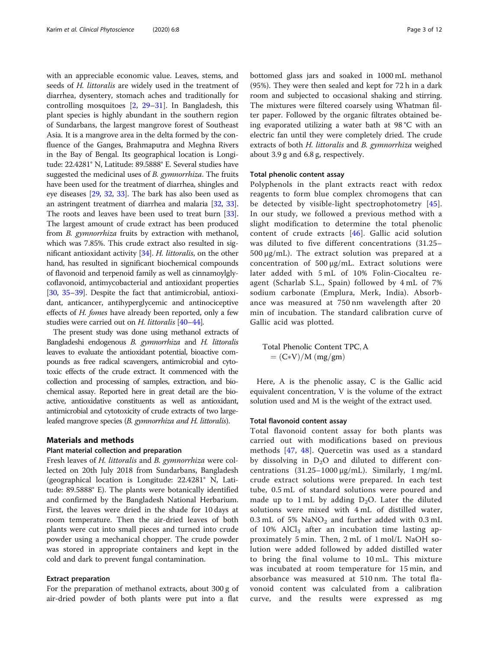with an appreciable economic value. Leaves, stems, and seeds of H. littoralis are widely used in the treatment of diarrhea, dysentery, stomach aches and traditionally for controlling mosquitoes [\[2,](#page-10-0) [29](#page-10-0)–[31\]](#page-10-0). In Bangladesh, this plant species is highly abundant in the southern region of Sundarbans, the largest mangrove forest of Southeast Asia. It is a mangrove area in the delta formed by the confluence of the Ganges, Brahmaputra and Meghna Rivers in the Bay of Bengal. Its geographical location is Longitude: 22.4281° N, Latitude: 89.5888° E. Several studies have suggested the medicinal uses of B. gymnorrhiza. The fruits have been used for the treatment of diarrhea, shingles and eye diseases [[29](#page-10-0), [32,](#page-10-0) [33\]](#page-10-0). The bark has also been used as an astringent treatment of diarrhea and malaria [\[32,](#page-10-0) [33](#page-10-0)]. The roots and leaves have been used to treat burn [[33](#page-10-0)]. The largest amount of crude extract has been produced from B. gymnorrhiza fruits by extraction with methanol, which was 7.85%. This crude extract also resulted in significant antioxidant activity [\[34\]](#page-10-0). H. littoralis, on the other hand, has resulted in significant biochemical compounds of flavonoid and terpenoid family as well as cinnamoylglycoflavonoid, antimycobacterial and antioxidant properties [[30](#page-10-0), [35](#page-10-0)–[39\]](#page-10-0). Despite the fact that antimicrobial, antioxidant, anticancer, antihyperglycemic and antinociceptive effects of H. fomes have already been reported, only a few studies were carried out on H. littoralis [[40](#page-10-0)–[44](#page-11-0)].

The present study was done using methanol extracts of Bangladeshi endogenous B. gymnorrhiza and H. littoralis leaves to evaluate the antioxidant potential, bioactive compounds as free radical scavengers, antimicrobial and cytotoxic effects of the crude extract. It commenced with the collection and processing of samples, extraction, and biochemical assay. Reported here in great detail are the bioactive, antioxidative constituents as well as antioxidant, antimicrobial and cytotoxicity of crude extracts of two largeleafed mangrove species (B. gymnorrhiza and H. littoralis).

## Materials and methods

#### Plant material collection and preparation

Fresh leaves of H. littoralis and B. gymnorrhiza were collected on 20th July 2018 from Sundarbans, Bangladesh (geographical location is Longitude: 22.4281° N, Latitude: 89.5888° E). The plants were botanically identified and confirmed by the Bangladesh National Herbarium. First, the leaves were dried in the shade for 10 days at room temperature. Then the air-dried leaves of both plants were cut into small pieces and turned into crude powder using a mechanical chopper. The crude powder was stored in appropriate containers and kept in the cold and dark to prevent fungal contamination.

### Extract preparation

For the preparation of methanol extracts, about 300 g of air-dried powder of both plants were put into a flat bottomed glass jars and soaked in 1000 mL methanol (95%). They were then sealed and kept for 72 h in a dark room and subjected to occasional shaking and stirring. The mixtures were filtered coarsely using Whatman filter paper. Followed by the organic filtrates obtained being evaporated utilizing a water bath at 98 °C with an electric fan until they were completely dried. The crude extracts of both H. littoralis and B. gymnorrhiza weighed about 3.9 g and 6.8 g, respectively.

#### Total phenolic content assay

Polyphenols in the plant extracts react with redox reagents to form blue complex chromogens that can be detected by visible-light spectrophotometry [[45](#page-11-0)]. In our study, we followed a previous method with a slight modification to determine the total phenolic content of crude extracts [[46](#page-11-0)]. Gallic acid solution was diluted to five different concentrations (31.25– 500 μg/mL). The extract solution was prepared at a concentration of 500 μg/mL. Extract solutions were later added with 5 mL of 10% Folin-Ciocalteu reagent (Scharlab S.L., Spain) followed by 4 mL of 7% sodium carbonate (Emplura, Merk, India). Absorbance was measured at 750 nm wavelength after 20 min of incubation. The standard calibration curve of Gallic acid was plotted.

Total Phenolic Content TPC; A  $= (C*V)/M$  (mg/gm)

Here, A is the phenolic assay, C is the Gallic acid equivalent concentration, V is the volume of the extract solution used and M is the weight of the extract used.

## Total flavonoid content assay

Total flavonoid content assay for both plants was carried out with modifications based on previous methods [\[47,](#page-11-0) [48\]](#page-11-0). Quercetin was used as a standard by dissolving in  $D_2O$  and diluted to different concentrations (31.25–1000 μg/mL). Similarly, 1 mg/mL crude extract solutions were prepared. In each test tube, 0.5 mL of standard solutions were poured and made up to 1 mL by adding  $D_2O$ . Later the diluted solutions were mixed with 4 mL of distilled water, 0.3 mL of 5%  $\text{NaNO}_2$  and further added with 0.3 mL of 10%  $AlCl<sub>3</sub>$  after an incubation time lasting approximately 5 min. Then, 2 mL of 1 mol/L NaOH solution were added followed by added distilled water to bring the final volume to 10 mL. This mixture was incubated at room temperature for 15 min, and absorbance was measured at 510 nm. The total flavonoid content was calculated from a calibration curve, and the results were expressed as mg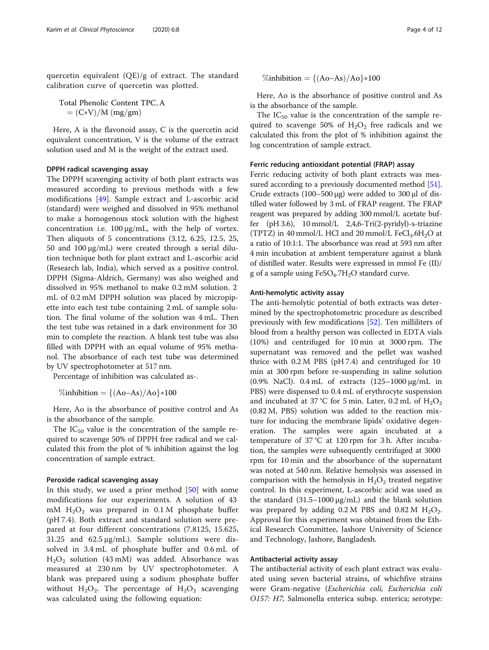quercetin equivalent (QE)/g of extract. The standard calibration curve of quercetin was plotted.

Total Phenolic Content TPC; A  $=(C*V)/M$  (mg/gm)

Here, A is the flavonoid assay, C is the quercetin acid equivalent concentration, V is the volume of the extract solution used and M is the weight of the extract used.

#### DPPH radical scavenging assay

The DPPH scavenging activity of both plant extracts was measured according to previous methods with a few modifications [[49\]](#page-11-0). Sample extract and L-ascorbic acid (standard) were weighed and dissolved in 95% methanol to make a homogenous stock solution with the highest concentration i.e. 100 μg/mL, with the help of vortex. Then aliquots of 5 concentrations (3.12, 6.25, 12.5, 25, 50 and 100 μg/mL) were created through a serial dilution technique both for plant extract and L-ascorbic acid (Research lab, India), which served as a positive control. DPPH (Sigma-Aldrich, Germany) was also weighed and dissolved in 95% methanol to make 0.2 mM solution. 2 mL of 0.2 mM DPPH solution was placed by micropipette into each test tube containing 2 mL of sample solution. The final volume of the solution was 4 mL. Then the test tube was retained in a dark environment for 30 min to complete the reaction. A blank test tube was also filled with DPPH with an equal volume of 95% methanol. The absorbance of each test tube was determined by UV spectrophotometer at 517 nm.

Percentage of inhibition was calculated as-.

%inhibition = { $(Ao-As)/Ao$ }\*100

Here, Ao is the absorbance of positive control and As is the absorbance of the sample.

The  $IC_{50}$  value is the concentration of the sample required to scavenge 50% of DPPH free radical and we calculated this from the plot of % inhibition against the log concentration of sample extract.

#### Peroxide radical scavenging assay

In this study, we used a prior method [[50](#page-11-0)] with some modifications for our experiments. A solution of 43 mM  $H_2O_2$  was prepared in 0.1 M phosphate buffer (pH 7.4). Both extract and standard solution were prepared at four different concentrations (7.8125, 15.625, 31.25 and 62.5 μg/mL). Sample solutions were dissolved in 3.4 mL of phosphate buffer and 0.6 mL of  $H<sub>2</sub>O<sub>2</sub>$  solution (43 mM) was added. Absorbance was measured at 230 nm by UV spectrophotometer. A blank was prepared using a sodium phosphate buffer without  $H_2O_2$ . The percentage of  $H_2O_2$  scavenging was calculated using the following equation:

 $\%$ inhibition = {(Ao-As)/Ao}\*100

Here, Ao is the absorbance of positive control and As is the absorbance of the sample.

The  $IC_{50}$  value is the concentration of the sample required to scavenge 50% of  $H_2O_2$  free radicals and we calculated this from the plot of % inhibition against the log concentration of sample extract.

## Ferric reducing antioxidant potential (FRAP) assay

Ferric reducing activity of both plant extracts was mea-sured according to a previously documented method [[51](#page-11-0)]. Crude extracts (100–500 μg) were added to 300 μl of distilled water followed by 3 mL of FRAP reagent. The FRAP reagent was prepared by adding 300 mmol/L acetate buffer (pH 3.6), 10 mmol/L 2,4,6-Tri(2-pyridyl)-s-triazine (TPTZ) in 40 mmol/L HCl and 20 mmol/L  $FeCl<sub>3</sub>$ .6H<sub>2</sub>O at a ratio of 10:1:1. The absorbance was read at 593 nm after 4 min incubation at ambient temperature against a blank of distilled water. Results were expressed in mmol Fe (II)/ g of a sample using FeSO<sub>4</sub>.7H<sub>2</sub>O standard curve.

#### Anti-hemolytic activity assay

The anti-hemolytic potential of both extracts was determined by the spectrophotometric procedure as described previously with few modifications [\[52](#page-11-0)]. Ten milliliters of blood from a healthy person was collected in EDTA vials (10%) and centrifuged for 10 min at 3000 rpm. The supernatant was removed and the pellet was washed thrice with 0.2 M PBS (pH 7.4) and centrifuged for 10 min at 300 rpm before re-suspending in saline solution (0.9% NaCl). 0.4 mL of extracts (125–1000 μg/mL in PBS) were dispensed to 0.4 mL of erythrocyte suspension and incubated at 37 °C for 5 min. Later, 0.2 mL of  $H_2O_2$ (0.82 M, PBS) solution was added to the reaction mixture for inducing the membrane lipids' oxidative degeneration. The samples were again incubated at a temperature of 37 °C at 120 rpm for 3 h. After incubation, the samples were subsequently centrifuged at 3000 rpm for 10 min and the absorbance of the supernatant was noted at 540 nm. Relative hemolysis was assessed in comparison with the hemolysis in  $H_2O_2$  treated negative control. In this experiment, L-ascorbic acid was used as the standard  $(31.5-1000 \mu g/mL)$  and the blank solution was prepared by adding  $0.2 M$  PBS and  $0.82 M$  H<sub>2</sub>O<sub>2</sub>. Approval for this experiment was obtained from the Ethical Research Committee, Jashore University of Science and Technology, Jashore, Bangladesh.

## Antibacterial activity assay

The antibacterial activity of each plant extract was evaluated using seven bacterial strains, of whichfive strains were Gram-negative (Escherichia coli, Escherichia coli O157: H7, Salmonella enterica subsp. enterica; serotype: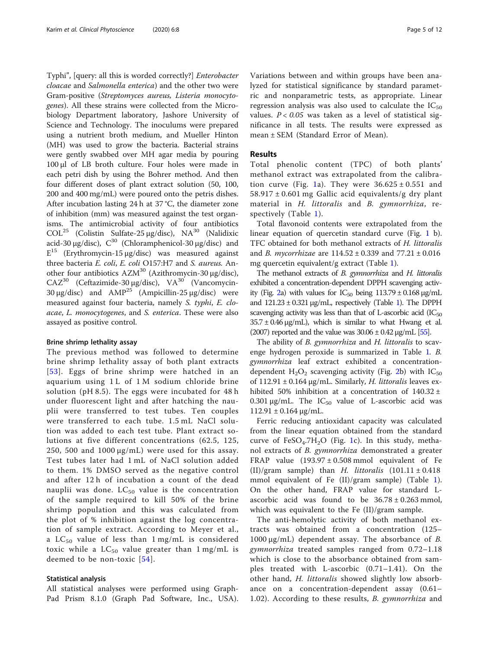Typhi", [query: all this is worded correctly?] Enterobacter cloacae and Salmonella enterica) and the other two were Gram-positive (Streptomyces aureus, Listeria monocytogenes). All these strains were collected from the Microbiology Department laboratory, Jashore University of Science and Technology. The inoculums were prepared using a nutrient broth medium, and Mueller Hinton (MH) was used to grow the bacteria. Bacterial strains were gently swabbed over MH agar media by pouring 100 μl of LB broth culture. Four holes were made in each petri dish by using the Bohrer method. And then four different doses of plant extract solution (50, 100, 200 and 400 mg/mL) were poured onto the petris dishes. After incubation lasting 24 h at 37 °C, the diameter zone of inhibition (mm) was measured against the test organisms. The antimicrobial activity of four antibiotics COL<sup>25</sup> (Colistin Sulfate-25  $\mu$ g/disc), NA<sup>30</sup> (Nalidixic acid-30 μg/disc),  $C^{30}$  (Chloramphenicol-30 μg/disc) and  $E^{15}$  (Erythromycin-15  $\mu$ g/disc) was measured against three bacteria E. coli, E. coli O157:H7 and S. aureus. Another four antibiotics  $AZM^{30}$  (Azithromycin-30 μg/disc), CAZ<sup>30</sup> (Ceftazimide-30  $\mu$ g/disc), VA<sup>30</sup> (Vancomycin-30 μg/disc) and  $AMP^{25}$  (Ampicillin-25 μg/disc) were measured against four bacteria, namely S. typhi, E. cloacae, L. monocytogenes, and S. enterica. These were also assayed as positive control.

#### Brine shrimp lethality assay

The previous method was followed to determine brine shrimp lethality assay of both plant extracts [[53\]](#page-11-0). Eggs of brine shrimp were hatched in an aquarium using 1 L of 1 M sodium chloride brine solution (pH 8.5). The eggs were incubated for 48 h under fluorescent light and after hatching the nauplii were transferred to test tubes. Ten couples were transferred to each tube. 1.5 mL NaCl solution was added to each test tube. Plant extract solutions at five different concentrations (62.5, 125, 250, 500 and 1000  $\mu$ g/mL) were used for this assay. Test tubes later had 1 mL of NaCl solution added to them. 1% DMSO served as the negative control and after 12 h of incubation a count of the dead nauplii was done.  $LC_{50}$  value is the concentration of the sample required to kill 50% of the brine shrimp population and this was calculated from the plot of % inhibition against the log concentration of sample extract. According to Meyer et al., a  $LC_{50}$  value of less than  $1 \text{ mg/mL}$  is considered toxic while a  $LC_{50}$  value greater than  $1 \text{ mg/mL}$  is deemed to be non-toxic [[54](#page-11-0)].

#### Statistical analysis

All statistical analyses were performed using Graph-Pad Prism 8.1.0 (Graph Pad Software, Inc., USA).

Variations between and within groups have been analyzed for statistical significance by standard parametric and nonparametric tests, as appropriate. Linear regression analysis was also used to calculate the  $IC_{50}$ values.  $P < 0.05$  was taken as a level of statistical significance in all tests. The results were expressed as mean ± SEM (Standard Error of Mean).

#### Results

Total phenolic content (TPC) of both plants' methanol extract was extrapolated from the calibra-tion curve (Fig. [1a](#page-5-0)). They were  $36.625 \pm 0.551$  and  $58.917 \pm 0.601$  mg Gallic acid equivalents/g dry plant material in H. littoralis and B. gymnorrhiza, re-spectively (Table [1\)](#page-5-0).

Total flavonoid contents were extrapolated from the linear equation of quercetin standard curve (Fig. [1](#page-5-0) b). TFC obtained for both methanol extracts of H. littoralis and *B. mycorrhizae* are  $114.52 \pm 0.339$  and  $77.21 \pm 0.016$ mg quercetin equivalent/g extract (Table [1](#page-5-0)).

The methanol extracts of B. gymnorrhiza and H. littoralis exhibited a concentration-dependent DPPH scavenging activ-ity (Fig. [2a](#page-6-0)) with values for  $IC_{50}$  being  $113.79 \pm 0.168$  μg/mL and  $121.23 \pm 0.321$   $\mu$ g/mL, respectively (Table [1\)](#page-5-0). The DPPH scavenging activity was less than that of L-ascorbic acid  $(IC_{50})$  $35.7 \pm 0.46$  μg/mL), which is similar to what Hwang et al. (2007) reported and the value was  $30.06 \pm 0.42$   $\mu$ g/mL [\[55\]](#page-11-0).

The ability of B. gymnorrhiza and H. littoralis to scavenge hydrogen peroxide is summarized in Table [1](#page-5-0). B. gymnorrhiza leaf extract exhibited a concentrationdependent  $H_2O_2$  scavenging activity (Fig. [2b](#page-6-0)) with  $IC_{50}$ of  $112.91 \pm 0.164 \,\mu g/mL$ . Similarly, *H. littoralis* leaves exhibited 50% inhibition at a concentration of  $140.32 \pm$ 0.301  $\mu$ g/mL. The IC<sub>50</sub> value of L-ascorbic acid was  $112.91 \pm 0.164$  μg/mL.

Ferric reducing antioxidant capacity was calculated from the linear equation obtained from the standard curve of FeSO<sub>4</sub>.7H<sub>2</sub>O (Fig. [1c](#page-5-0)). In this study, methanol extracts of B. gymnorrhiza demonstrated a greater FRAP value  $(193.97 \pm 0.508 \text{ mmol}$  equivalent of Fe (II)/gram sample) than H. littoralis  $(101.11 \pm 0.418)$ mmol equivalent of Fe (II)/gram sample) (Table [1](#page-5-0)). On the other hand, FRAP value for standard Lascorbic acid was found to be  $36.78 \pm 0.263$  mmol, which was equivalent to the Fe (II)/gram sample.

The anti-hemolytic activity of both methanol extracts was obtained from a concentration (125– 1000  $\mu$ g/mL) dependent assay. The absorbance of *B*. gymnorrhiza treated samples ranged from 0.72–1.18 which is close to the absorbance obtained from samples treated with L-ascorbic (0.71–1.41). On the other hand, *H. littoralis* showed slightly low absorbance on a concentration-dependent assay (0.61– 1.02). According to these results, *B. gymnorrhiza* and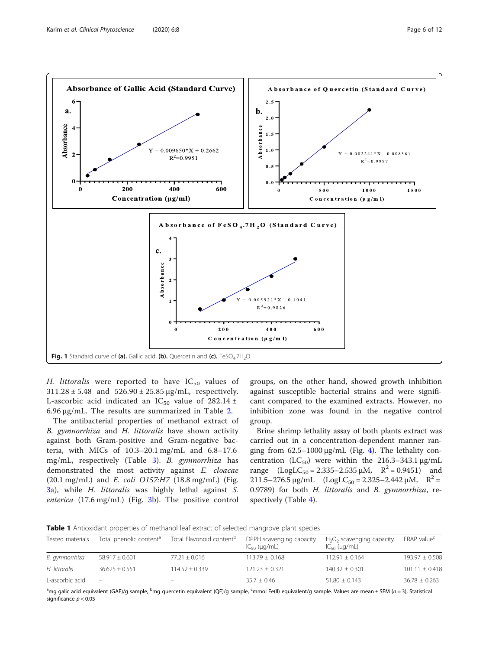<span id="page-5-0"></span>

H. littoralis were reported to have  $IC_{50}$  values of  $311.28 \pm 5.48$  and  $526.90 \pm 25.85 \,\mu$ g/mL, respectively. L-ascorbic acid indicated an  $IC_{50}$  value of 282.14 ± 6.96 μg/mL. The results are summarized in Table [2](#page-6-0).

The antibacterial properties of methanol extract of B. gymnorrhiza and H. littoralis have shown activity against both Gram-positive and Gram-negative bacteria, with MICs of 10.3–20.1 mg/mL and 6.8–17.6 mg/mL, respectively (Table [3](#page-7-0)). B. gymnorrhiza has demonstrated the most activity against E. cloacae  $(20.1 \text{ mg/mL})$  and *E. coli O157:H7*  $(18.8 \text{ mg/mL})$  (Fig. [3a](#page-7-0)), while H. littoralis was highly lethal against S. enterica (17.6 mg/mL) (Fig. [3](#page-7-0)b). The positive control

groups, on the other hand, showed growth inhibition against susceptible bacterial strains and were significant compared to the examined extracts. However, no inhibition zone was found in the negative control group.

Brine shrimp lethality assay of both plants extract was carried out in a concentration-dependent manner ranging from  $62.5-1000 \mu g/mL$  (Fig. [4](#page-8-0)). The lethality concentration (LC<sub>50</sub>) were within the 216.3–343.1  $\mu$ g/mL range  $(Log LC_{50} = 2.335 - 2.535 \mu M, R^2 = 0.9451)$  and 211.5–276.5  $\mu$ g/mL (LogLC<sub>50</sub> = 2.325–2.442  $\mu$ M, R<sup>2</sup> = 0.9789) for both H. littoralis and B. gymnorrhiza, respectively (Table [4](#page-8-0)).

Table 1 Antioxidant properties of methanol leaf extract of selected mangrove plant species

| Tested materials | Total phenolic content <sup>a</sup> | Total Flavonoid content <sup>b</sup> | DPPH scavenging capacity<br>$IC_{50}$ (µg/mL) | $H_2O_2$ scavenging capacity<br>$IC_{50}$ (µg/mL) | $FRAP$ value <sup>c</sup> |
|------------------|-------------------------------------|--------------------------------------|-----------------------------------------------|---------------------------------------------------|---------------------------|
| B. gymnorrhiza   | $58.917 \pm 0.601$                  | $77.21 \pm 0.016$                    | $113.79 \pm 0.168$                            | $112.91 \pm 0.164$                                | $193.97 \pm 0.508$        |
| H. littoralis    | $36.625 \pm 0.551$                  | $114.52 \pm 0.339$                   | $121.23 \pm 0.321$                            | $140.32 \pm 0.301$                                | $101.11 \pm 0.418$        |
| L-ascorbic acid  | $\overline{\phantom{0}}$            |                                      | $35.7 \pm 0.46$                               | $51.80 \pm 0.143$                                 | $36.78 \pm 0.263$         |

<sup>a</sup>mg galic acid equivalent (GAE)/g sample, <sup>b</sup>mg quercetin equivalent (QE)/g sample, <sup>c</sup>mmol Fe(II) equivalent/g sample. Values are mean ± SEM (n = 3), Statistical<br>significance n < 0.05 significance  $p < 0.05$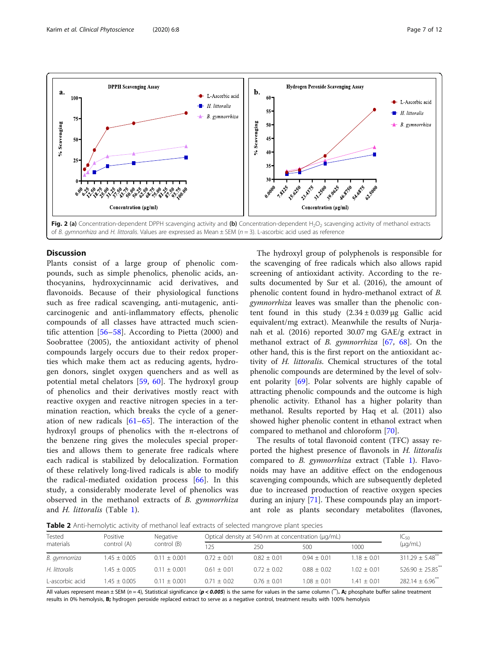<span id="page-6-0"></span>

#### **Discussion**

Plants consist of a large group of phenolic compounds, such as simple phenolics, phenolic acids, anthocyanins, hydroxycinnamic acid derivatives, and flavonoids. Because of their physiological functions such as free radical scavenging, anti-mutagenic, anticarcinogenic and anti-inflammatory effects, phenolic compounds of all classes have attracted much scientific attention [[56](#page-11-0)–[58\]](#page-11-0). According to Pietta (2000) and Soobrattee (2005), the antioxidant activity of phenol compounds largely occurs due to their redox properties which make them act as reducing agents, hydrogen donors, singlet oxygen quenchers and as well as potential metal chelators [[59,](#page-11-0) [60\]](#page-11-0). The hydroxyl group of phenolics and their derivatives mostly react with reactive oxygen and reactive nitrogen species in a termination reaction, which breaks the cycle of a generation of new radicals [[61](#page-11-0)–[65\]](#page-11-0). The interaction of the hydroxyl groups of phenolics with the π-electrons of the benzene ring gives the molecules special properties and allows them to generate free radicals where each radical is stabilized by delocalization. Formation of these relatively long-lived radicals is able to modify the radical-mediated oxidation process [\[66](#page-11-0)]. In this study, a considerably moderate level of phenolics was observed in the methanol extracts of B. gymnorrhiza and H. littoralis (Table [1](#page-5-0)).

The hydroxyl group of polyphenols is responsible for the scavenging of free radicals which also allows rapid screening of antioxidant activity. According to the results documented by Sur et al. (2016), the amount of phenolic content found in hydro-methanol extract of B. gymnorrhiza leaves was smaller than the phenolic content found in this study  $(2.34 \pm 0.039 \,\mu\text{g}$  Gallic acid equivalent/mg extract). Meanwhile the results of Nurjanah et al. (2016) reported 30.07 mg GAE/g extract in methanol extract of *B. gymnorrhiza* [[67,](#page-11-0) [68](#page-11-0)]. On the other hand, this is the first report on the antioxidant activity of H. littoralis. Chemical structures of the total phenolic compounds are determined by the level of solvent polarity [\[69](#page-11-0)]. Polar solvents are highly capable of attracting phenolic compounds and the outcome is high phenolic activity. Ethanol has a higher polarity than methanol. Results reported by Haq et al. (2011) also showed higher phenolic content in ethanol extract when compared to methanol and chloroform [\[70\]](#page-11-0).

The results of total flavonoid content (TFC) assay reported the highest presence of flavonols in H. littoralis compared to B. gymnorrhiza extract (Table [1\)](#page-5-0). Flavonoids may have an additive effect on the endogenous scavenging compounds, which are subsequently depleted due to increased production of reactive oxygen species during an injury [[71\]](#page-11-0). These compounds play an important role as plants secondary metabolites (flavones,

**Table 2** Anti-hemolytic activity of methanol leaf extracts of selected mangrove plant species

| Tested<br>materials | Positive<br>control (A) | Negative       | Optical density at 540 nm at concentration (µq/mL) | $IC_{50}$     |               |               |                                |
|---------------------|-------------------------|----------------|----------------------------------------------------|---------------|---------------|---------------|--------------------------------|
|                     |                         | control (B)    | 125                                                | 250           | 500           | 1000          | $(\mu q/mL)$                   |
| B. gymnorriza       | $1.45 \pm 0.005$        | $0.11 + 0.001$ | $0.72 \pm 0.01$                                    | $0.82 + 0.01$ | $0.94 + 0.01$ | $1.18 + 0.01$ | $311.29 + 5.48$ <sup>**</sup>  |
| H. littoralis       | $1.45 + 0.005$          | $0.11 + 0.001$ | $0.61 + 0.01$                                      | $0.72 + 0.02$ | $0.88 + 0.02$ | $1.02 + 0.01$ | $526.90 + 25.85$ <sup>**</sup> |
| L-ascorbic acid     | $1.45 + 0.005$          | $0.11 + 0.001$ | $0.71 + 0.02$                                      | $0.76 + 0.01$ | $1.08 + 0.01$ | $1.41 + 0.01$ | $282.14 + 6.96^{**}$           |

All values represent mean ± SEM (n = 4), Statistical significance ( $p < 0.005$ ) is the same for values in the same column (\*\*). A; phosphate buffer saline treatment results in 0% hemolysis, B; hydrogen peroxide replaced extract to serve as a negative control, treatment results with 100% hemolysis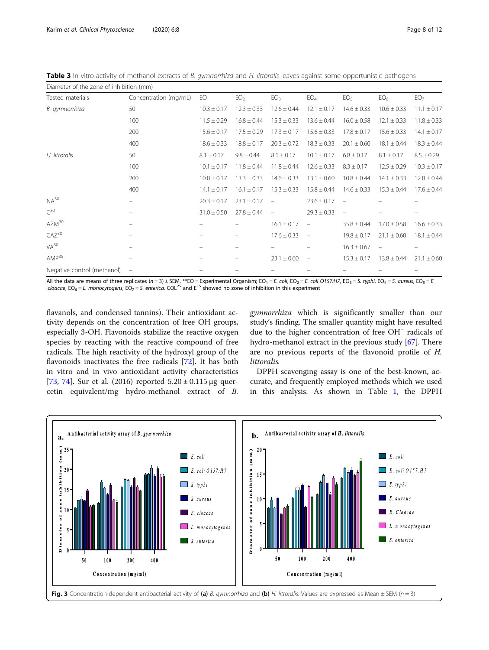<span id="page-7-0"></span>Table 3 In vitro activity of methanol extracts of B. gymnorrhiza and H. littoralis leaves against some opportunistic pathogens

| Diameter of the zone of inhibition (mm) |                          |                 |                 |                 |                          |                          |                 |                 |
|-----------------------------------------|--------------------------|-----------------|-----------------|-----------------|--------------------------|--------------------------|-----------------|-----------------|
| Tested materials                        | Concentration (mg/mL)    | EO <sub>1</sub> | EO <sub>2</sub> | EO <sub>3</sub> | EO <sub>4</sub>          | EO <sub>5</sub>          | EO <sub>6</sub> | EO <sub>7</sub> |
| B. gymnorrhiza                          | 50                       | $10.3 \pm 0.17$ | $12.3 \pm 0.33$ | $12.6 \pm 0.44$ | $12.1 \pm 0.17$          | $14.6 \pm 0.33$          | $10.6 \pm 0.33$ | $11.1 \pm 0.17$ |
|                                         | 100                      | $11.5 \pm 0.29$ | $16.8 \pm 0.44$ | $15.3 \pm 0.33$ | $13.6 \pm 0.44$          | $16.0 \pm 0.58$          | $12.1 \pm 0.33$ | $11.8 \pm 0.33$ |
|                                         | 200                      | $15.6 \pm 0.17$ | $17.5 \pm 0.29$ | $17.3 \pm 0.17$ | $15.6 \pm 0.33$          | $17.8 \pm 0.17$          | $15.6 \pm 0.33$ | $14.1 \pm 0.17$ |
|                                         | 400                      | $18.6 \pm 0.33$ | $18.8 \pm 0.17$ | $20.3 \pm 0.72$ | $18.3 \pm 0.33$          | $20.1 \pm 0.60$          | $18.1 \pm 0.44$ | $18.3 \pm 0.44$ |
| H. littoralis                           | 50                       | $8.1 \pm 0.17$  | $9.8 \pm 0.44$  | $8.1 \pm 0.17$  | $10.1 \pm 0.17$          | $6.8 \pm 0.17$           | $8.1 \pm 0.17$  | $8.5 \pm 0.29$  |
|                                         | 100                      | $10.1 \pm 0.17$ | $11.8 \pm 0.44$ | $11.8 \pm 0.44$ | $12.6 \pm 0.33$          | $8.3 \pm 0.17$           | $12.5 \pm 0.29$ | $10.3 \pm 0.17$ |
|                                         | 200                      | $10.8 \pm 0.17$ | $13.3 \pm 0.33$ | $14.6 \pm 0.33$ | $13.1 \pm 0.60$          | $10.8 \pm 0.44$          | $14.1 \pm 0.33$ | $12.8 \pm 0.44$ |
|                                         | 400                      | $14.1 \pm 0.17$ | $16.1 \pm 0.17$ | $15.3 \pm 0.33$ | $15.8 \pm 0.44$          | $14.6 \pm 0.33$          | $15.3 \pm 0.44$ | $17.6 \pm 0.44$ |
| $NA^{30}$                               |                          | $20.3 \pm 0.17$ | $23.1 \pm 0.17$ |                 | $23.6 \pm 0.17$          | $\overline{\phantom{0}}$ |                 |                 |
| $C^{30}$                                |                          | $31.0 \pm 0.50$ | $27.8 \pm 0.44$ |                 | $29.3 \pm 0.33$          | $\qquad \qquad -$        |                 |                 |
| $AZM^{30}$                              |                          |                 |                 | $16.1 \pm 0.17$ | $\overline{\phantom{a}}$ | $35.8 \pm 0.44$          | $17.0 \pm 0.58$ | $16.6 \pm 0.33$ |
| $CAZ^{30}$                              |                          |                 |                 | $17.6 \pm 0.33$ | $\overline{\phantom{a}}$ | $19.8 \pm 0.17$          | $21.1 \pm 0.60$ | $18.1 \pm 0.44$ |
| $VA^{30}$                               |                          |                 |                 |                 |                          | $16.3 \pm 0.67$          |                 |                 |
| AMP <sup>35</sup>                       |                          |                 |                 | $23.1 \pm 0.60$ | $\overline{\phantom{a}}$ | $15.3 \pm 0.17$          | $13.8 \pm 0.44$ | $21.1 \pm 0.60$ |
| Negative control (methanol)             | $\overline{\phantom{a}}$ |                 |                 |                 |                          |                          |                 |                 |

All the data are means of three replicates (n = 3) ± SEM, \*\*EO = Experimental Organism; EO<sub>1</sub> = E. coli, EO<sub>2</sub> = E. coli O157:H7, EO<sub>3</sub> = S. typhi, EO<sub>4</sub> = S. aureus, EO<sub>5</sub> = E .cloacae, EO<sub>6</sub> = L. monocytogens, EO<sub>7</sub> = S. enterica. COL<sup>25</sup> and E<sup>15</sup> showed no zone of inhibition in this experiment

flavanols, and condensed tannins). Their antioxidant activity depends on the concentration of free OH groups, especially 3-OH. Flavonoids stabilize the reactive oxygen species by reacting with the reactive compound of free radicals. The high reactivity of the hydroxyl group of the flavonoids inactivates the free radicals [\[72](#page-11-0)]. It has both in vitro and in vivo antioxidant activity characteristics [[73,](#page-11-0) [74](#page-11-0)]. Sur et al. (2016) reported  $5.20 \pm 0.115$  µg quercetin equivalent/mg hydro-methanol extract of B. gymnorrhiza which is significantly smaller than our study's finding. The smaller quantity might have resulted due to the higher concentration of free OH<sup>−</sup> radicals of hydro-methanol extract in the previous study [\[67](#page-11-0)]. There are no previous reports of the flavonoid profile of H. littoralis.

DPPH scavenging assay is one of the best-known, accurate, and frequently employed methods which we used in this analysis. As shown in Table [1,](#page-5-0) the DPPH

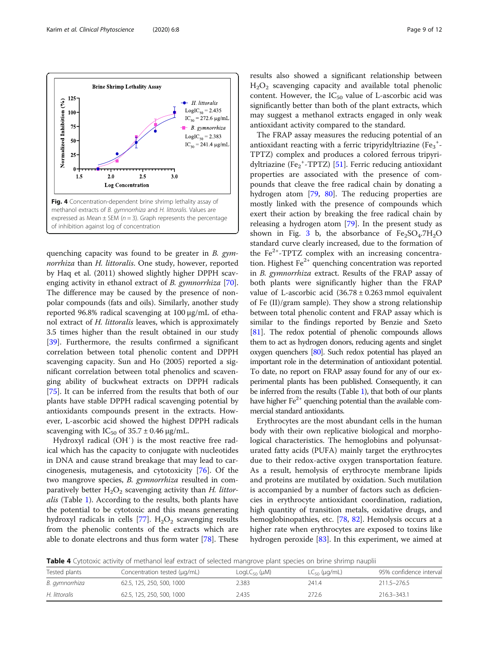125

100

75

**Brine Shrimp Lethality Assay** 

<span id="page-8-0"></span>

 $\bullet$  H. littoralis  $LogIC_{50} = 2.435$ 

 $IC_{50} = 272.6 \text{ µg/mL}$ 

quenching capacity was found to be greater in  $B$ . gymnorrhiza than H. littoralis. One study, however, reported by Haq et al. (2011) showed slightly higher DPPH scavenging activity in ethanol extract of *B. gymnorrhiza* [\[70](#page-11-0)]. The difference may be caused by the presence of nonpolar compounds (fats and oils). Similarly, another study reported 96.8% radical scavenging at 100 μg/mL of ethanol extract of H. littoralis leaves, which is approximately 3.5 times higher than the result obtained in our study [[39\]](#page-10-0). Furthermore, the results confirmed a significant correlation between total phenolic content and DPPH scavenging capacity. Sun and Ho (2005) reported a significant correlation between total phenolics and scavenging ability of buckwheat extracts on DPPH radicals [[75\]](#page-11-0). It can be inferred from the results that both of our plants have stable DPPH radical scavenging potential by antioxidants compounds present in the extracts. However, L-ascorbic acid showed the highest DPPH radicals scavenging with  $IC_{50}$  of 35.7  $\pm$  0.46 μg/mL.

Hydroxyl radical (OH˙) is the most reactive free radical which has the capacity to conjugate with nucleotides in DNA and cause strand breakage that may lead to carcinogenesis, mutagenesis, and cytotoxicity [\[76](#page-11-0)]. Of the two mangrove species, B. gymnorrhiza resulted in comparatively better  $H_2O_2$  scavenging activity than H. littoralis (Table [1](#page-5-0)). According to the results, both plants have the potential to be cytotoxic and this means generating hydroxyl radicals in cells [\[77\]](#page-11-0).  $H_2O_2$  scavenging results from the phenolic contents of the extracts which are able to donate electrons and thus form water [[78\]](#page-11-0). These results also showed a significant relationship between  $H<sub>2</sub>O<sub>2</sub>$  scavenging capacity and available total phenolic content. However, the  $IC_{50}$  value of L-ascorbic acid was significantly better than both of the plant extracts, which may suggest a methanol extracts engaged in only weak antioxidant activity compared to the standard.

The FRAP assay measures the reducing potential of an antioxidant reacting with a ferric tripyridyltriazine (Fe<sub>3</sub><sup>+</sup>-TPTZ) complex and produces a colored ferrous tripyri-dyltriazine (Fe<sub>2</sub><sup>+</sup>-TPTZ) [[51\]](#page-11-0). Ferric reducing antioxidant properties are associated with the presence of compounds that cleave the free radical chain by donating a hydrogen atom [\[79,](#page-11-0) [80](#page-11-0)]. The reducing properties are mostly linked with the presence of compounds which exert their action by breaking the free radical chain by releasing a hydrogen atom [[79](#page-11-0)]. In the present study as shown in Fig. [3](#page-7-0) b, the absorbance of  $Fe<sub>2</sub>SO<sub>4</sub>$ .7H<sub>2</sub>O standard curve clearly increased, due to the formation of the  $Fe<sup>2+</sup>$ -TPTZ complex with an increasing concentration. Highest  $Fe<sup>2+</sup>$  quenching concentration was reported in B. gymnorrhiza extract. Results of the FRAP assay of both plants were significantly higher than the FRAP value of L-ascorbic acid  $(36.78 \pm 0.263 \text{ mmol}$  equivalent of Fe (II)/gram sample). They show a strong relationship between total phenolic content and FRAP assay which is similar to the findings reported by Benzie and Szeto [[81\]](#page-11-0). The redox potential of phenolic compounds allows them to act as hydrogen donors, reducing agents and singlet oxygen quenchers [\[80\]](#page-11-0). Such redox potential has played an important role in the determination of antioxidant potential. To date, no report on FRAP assay found for any of our experimental plants has been published. Consequently, it can be inferred from the results (Table [1](#page-5-0)), that both of our plants have higher  $Fe^{2+}$  quenching potential than the available commercial standard antioxidants.

Erythrocytes are the most abundant cells in the human body with their own replicative biological and morphological characteristics. The hemoglobins and polyunsaturated fatty acids (PUFA) mainly target the erythrocytes due to their redox-active oxygen transportation feature. As a result, hemolysis of erythrocyte membrane lipids and proteins are mutilated by oxidation. Such mutilation is accompanied by a number of factors such as deficiencies in erythrocyte antioxidant coordination, radiation, high quantity of transition metals, oxidative drugs, and hemoglobinopathies, etc. [\[78](#page-11-0), [82\]](#page-11-0). Hemolysis occurs at a higher rate when erythrocytes are exposed to toxins like hydrogen peroxide  $[83]$ . In this experiment, we aimed at

Table 4 Cytotoxic activity of methanol leaf extract of selected mangrove plant species on brine shrimp nauplii

| Tested plants  | Concentration tested (µg/mL) | $LogLC_{50}$ ( $\mu$ M) | $LC_{50}$ (µg/mL) | 95% confidence interval |
|----------------|------------------------------|-------------------------|-------------------|-------------------------|
| B. gymnorrhiza | 62.5, 125, 250, 500, 1000    | 2.383                   | 241.4             | 211.5-276.5             |
| H. littoralis  | 62.5, 125, 250, 500, 1000    | 2.435                   | 272.6             | $216.3 - 343.1$         |
|                |                              |                         |                   |                         |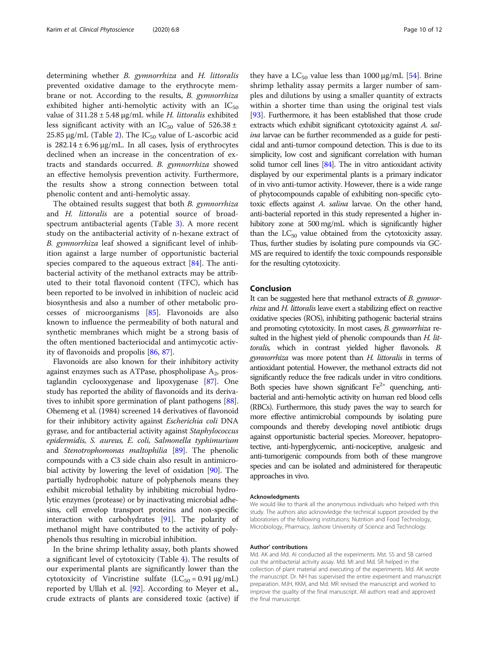determining whether B. gymnorrhiza and H. littoralis prevented oxidative damage to the erythrocyte membrane or not. According to the results, B. gymnorrhiza exhibited higher anti-hemolytic activity with an  $IC_{50}$ value of  $311.28 \pm 5.48$  µg/mL while *H. littoralis* exhibited less significant activity with an IC<sub>50</sub> value of 526.38 ± 25.85  $\mu$ g/mL (Table [2\)](#page-6-0). The IC<sub>50</sub> value of L-ascorbic acid is  $282.14 \pm 6.96 \,\mathrm{\mu g/mL}$ . In all cases, lysis of erythrocytes declined when an increase in the concentration of extracts and standards occurred. B. gymnorrhiza showed an effective hemolysis prevention activity. Furthermore, the results show a strong connection between total phenolic content and anti-hemolytic assay.

The obtained results suggest that both *B. gymnorrhiza* and H. littoralis are a potential source of broadspectrum antibacterial agents (Table [3\)](#page-7-0). A more recent study on the antibacterial activity of n-hexane extract of B. gymnorrhiza leaf showed a significant level of inhibition against a large number of opportunistic bacterial species compared to the aqueous extract  $[84]$  $[84]$ . The antibacterial activity of the methanol extracts may be attributed to their total flavonoid content (TFC), which has been reported to be involved in inhibition of nucleic acid biosynthesis and also a number of other metabolic processes of microorganisms [[85](#page-11-0)]. Flavonoids are also known to influence the permeability of both natural and synthetic membranes which might be a strong basis of the often mentioned bacteriocidal and antimycotic activity of flavonoids and propolis [\[86](#page-11-0), [87](#page-11-0)].

Flavonoids are also known for their inhibitory activity against enzymes such as ATPase, phospholipase  $A_2$ , prostaglandin cyclooxygenase and lipoxygenase [\[87](#page-11-0)]. One study has reported the ability of flavonoids and its derivatives to inhibit spore germination of plant pathogens [[88](#page-11-0)]. Ohemeng et al. (1984) screened 14 derivatives of flavonoid for their inhibitory activity against Escherichia coli DNA gyrase, and for antibacterial activity against Staphylococcus epidermidis, S. aureus, E. coli, Salmonella typhimurium and Stenotrophomonas maltophilia [\[89\]](#page-11-0). The phenolic compounds with a C3 side chain also result in antimicrobial activity by lowering the level of oxidation [[90](#page-11-0)]. The partially hydrophobic nature of polyphenols means they exhibit microbial lethality by inhibiting microbial hydrolytic enzymes (protease) or by inactivating microbial adhesins, cell envelop transport proteins and non-specific interaction with carbohydrates [\[91\]](#page-11-0). The polarity of methanol might have contributed to the activity of polyphenols thus resulting in microbial inhibition.

In the brine shrimp lethality assay, both plants showed a significant level of cytotoxicity (Table [4](#page-8-0)). The results of our experimental plants are significantly lower than the cytotoxicity of Vincristine sulfate  $(LC_{50} = 0.91 \,\mu\text{g/mL})$ reported by Ullah et al. [\[92](#page-11-0)]. According to Meyer et al., crude extracts of plants are considered toxic (active) if they have a  $LC_{50}$  value less than 1000  $\mu$ g/mL [\[54\]](#page-11-0). Brine shrimp lethality assay permits a larger number of samples and dilutions by using a smaller quantity of extracts within a shorter time than using the original test vials [[93\]](#page-11-0). Furthermore, it has been established that those crude extracts which exhibit significant cytotoxicity against A. salina larvae can be further recommended as a guide for pesticidal and anti-tumor compound detection. This is due to its simplicity, low cost and significant correlation with human solid tumor cell lines [\[84](#page-11-0)]. The in vitro antioxidant activity displayed by our experimental plants is a primary indicator of in vivo anti-tumor activity. However, there is a wide range of phytocompounds capable of exhibiting non-specific cytotoxic effects against A. salina larvae. On the other hand, anti-bacterial reported in this study represented a higher inhibitory zone at 500 mg/mL which is significantly higher than the  $LC_{50}$  value obtained from the cytotoxicity assay. Thus, further studies by isolating pure compounds via GC-MS are required to identify the toxic compounds responsible for the resulting cytotoxicity.

## Conclusion

It can be suggested here that methanol extracts of B. gymnorrhiza and H. littoralis leave exert a stabilizing effect on reactive oxidative species (ROS), inhibiting pathogenic bacterial strains and promoting cytotoxicity. In most cases, B. gymnorrhiza resulted in the highest yield of phenolic compounds than H. littoralis, which in contrast yielded higher flavonols. B. gymnorrhiza was more potent than H. littoralis in terms of antioxidant potential. However, the methanol extracts did not significantly reduce the free radicals under in vitro conditions. Both species have shown significant  $Fe^{2+}$  quenching, antibacterial and anti-hemolytic activity on human red blood cells (RBCs). Furthermore, this study paves the way to search for more effective antimicrobial compounds by isolating pure compounds and thereby developing novel antibiotic drugs against opportunistic bacterial species. Moreover, hepatoprotective, anti-hyperglycemic, anti-nociceptive, analgesic and anti-tumorigenic compounds from both of these mangrove species and can be isolated and administered for therapeutic approaches in vivo.

#### Acknowledgments

We would like to thank all the anonymous individuals who helped with this study. The authors also acknowledge the technical support provided by the laboratories of the following institutions: Nutrition and Food Technology, Microbiology, Pharmacy, Jashore University of Science and Technology.

#### Author' contributions

Md. AK and Md. AI conducted all the experiments. Mst. SS and SB carried out the antibacterial activity assay. Md. MI and Md. SR helped in the collection of plant material and executing of the experiments. Md. AK wrote the manuscript. Dr. NH has supervised the entire experiment and manuscript preparation. MJH, KKM, and Md. MR revised the manuscript and worked to improve the quality of the final manuscript. All authors read and approved the final manuscript.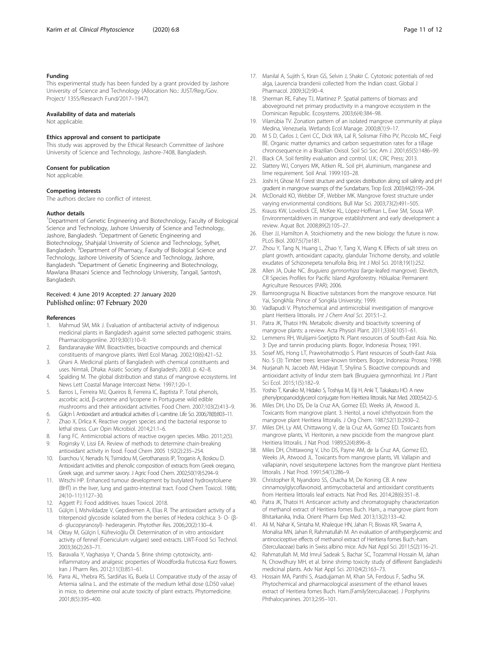#### <span id="page-10-0"></span>Funding

This experimental study has been funded by a grant provided by Jashore University of Science and Technology (Allocation No.: JUST/Reg./Gov. Project/ 1355/Research Fund/2017–1947).

#### Availability of data and materials

Not applicable.

#### Ethics approval and consent to participate

This study was approved by the Ethical Research Committee of Jashore University of Science and Technology, Jashore-7408, Bangladesh.

#### Consent for publication

Not applicable.

#### Competing interests

The authors declare no conflict of interest.

#### Author details

<sup>1</sup>Department of Genetic Engineering and Biotechnology, Faculty of Biological Science and Technology, Jashore University of Science and Technology, Jashore, Bangladesh. <sup>2</sup> Department of Genetic Engineering and Biotechnology, Shahjalal University of Science and Technology, Sylhet, Bangladesh. <sup>3</sup>Department of Pharmacy, Faculty of Biological Science and Technology, Jashore University of Science and Technology, Jashore, Bangladesh. <sup>4</sup> Department of Genetic Engineering and Biotechnology, Mawlana Bhasani Science and Technology University, Tangail, Santosh, Bangladesh.

#### Received: 4 June 2019 Accepted: 27 January 2020 Published online: 07 February 2020

#### References

- 1. Mahmud SM, Mik J. Evaluation of antibacterial activity of indigenous medicinal plants in Bangladesh against some selected pathogenic strains. Pharmacologyonline. 2019;30(1):10–9.
- 2. Bandaranayake WM. Bioactivities, bioactive compounds and chemical constituents of mangrove plants. Wetl Ecol Manag. 2002;10(6):421–52.
- 3. Ghani A. Medicinal plants of Bangladesh with chemical constituents and uses. Nimtali, Dhaka: Asiatic Society of Bangladesh; 2003. p. 42–8.
- 4. Spalding M. The global distribution and status of mangrove ecosystems. Int News Lett Coastal Manage Intercoast Netw. 1997;1:20–1.
- 5. Barros L, Ferreira MJ, Queiros B, Ferreira IC, Baptista P. Total phenols, ascorbic acid, β-carotene and lycopene in Portuguese wild edible mushrooms and their antioxidant activities. Food Chem. 2007;103(2):413–9.
- 6. Gülçin İ. Antioxidant and antiradical activities of L-carnitine. Life Sci. 2006;78(8):803–11.
- 7. Zhao X, Drlica K. Reactive oxygen species and the bacterial response to lethal stress. Curr Opin Microbiol. 2014;21:1–6.
- 8. Fang FC. Antimicrobial actions of reactive oxygen species. MBio. 2011;2(5). 9. Roginsky V, Lissi EA. Review of methods to determine chain-breaking
- antioxidant activity in food. Food Chem 2005 1;92(2):235–254. 10. Exarchou V, Nenadis N, Tsimidou M, Gerothanassis IP, Troganis A, Boskou D. Antioxidant activities and phenolic composition of extracts from Greek oregano, Greek sage, and summer savory. J Agric Food Chem. 2002;50(19):5294–9.
- 11. Witschi HP. Enhanced tumour development by butylated hydroxytoluene (BHT) in the liver, lung and gastro-intestinal tract. Food Chem Toxicol. 1986; 24(10–11):1127–30.
- 12. Aggett PJ. Food additives. Issues Toxicol. 2018.
- 13. Gülçin İ, Mshvildadze V, Gepdiremen A, Elias R. The antioxidant activity of a triterpenoid glycoside isolated from the berries of Hedera colchica: 3- O- (βd- glucopyranosyl)- hederagenin. Phytother Res. 2006;20(2):130–4.
- 14. Oktay M, Gülçin İ, Küfrevioğlu Öİ. Determination of in vitro antioxidant activity of fennel (Foeniculum vulgare) seed extracts. LWT-Food Sci Technol. 2003;36(2):263–71.
- 15. Baravalia Y, Vaghasiya Y, Chanda S. Brine shrimp cytotoxicity, antiinflammatory and analgesic properties of Woodfordia fruticosa Kurz flowers. Iran J Pharm Res. 2012;11(3):851–61.
- 16. Parra AL, Yhebra RS, Sardiñas IG, Buela LI. Comparative study of the assay of Artemia salina L. and the estimate of the medium lethal dose (LD50 value) in mice, to determine oral acute toxicity of plant extracts. Phytomedicine. 2001;8(5):395–400.
- 17. Manilal A, Sujith S, Kiran GS, Selvin J, Shakir C. Cytotoxic potentials of red alga, Laurencia brandenii collected from the Indian coast. Global J Pharmacol. 2009;3(2):90–4.
- 18. Sherman RE, Fahey TJ, Martinez P. Spatial patterns of biomass and aboveground net primary productivity in a mangrove ecosystem in the Dominican Republic. Ecosystems. 2003;6(4):384–98.
- 19. Vilarrúbia TV. Zonation pattern of an isolated mangrove community at playa Medina, Venezuela. Wetlands Ecol Manage. 2000;8(1):9–17.
- 20. M S D, Carlos J, Cerri CC, Dick WA, Lal R, Solismar Filho PV, Piccolo MC, Feigl BE. Organic matter dynamics and carbon sequestration rates for a tillage chronosequence in a Brazilian Oxisol. Soil Sci Soc Am J. 2001;65(5):1486–99.
- 21. Black CA. Soil fertility evaluation and control. U.K.: CRC Press; 2013.
- 22. Slattery WJ, Conyers MK, Aitken RL. Soil pH, aluminium, manganese and lime requirement. Soil Anal. 1999:103–28.
- 23. Joshi H, Ghose M. Forest structure and species distribution along soil salinity and pH gradient in mangrove swamps of the Sundarbans. Trop Ecol. 2003;44(2):195–204.
- 24. McDonald KO, Webber DF, Webber MK. Mangrove forest structure under varying envrionmental conditions. Bull Mar Sci. 2003;73(2):491–505.
- 25. Krauss KW, Lovelock CE, McKee KL, López-Hoffman L, Ewe SM, Sousa WP. Environmentaldrivers in mangrove establishment and early development: a review. Aquat Bot. 2008;89(2):105–27.
- 26. Elser JJ, Hamilton A. Stoichiometry and the new biology: the future is now. PLoS Biol. 2007;5(7):e181.
- 27. Zhou Y, Tang N, Huang L, Zhao Y, Tang X, Wang K. Effects of salt stress on plant growth, antioxidant capacity, glandular Trichome density, and volatile exudates of Schizonepeta tenuifolia Briq. Int J Mol Sci. 2018;19(1):252.
- 28. Allen JA, Duke NC. Bruguiera gymnorrhiza (large-leafed mangrove). Elevitch, CR Species Profiles for Pacific Island Agroforestry. Hōlualoa: Permanent Agriculture Resources (PAR); 2006.
- 29. Bamroongrugsa N. Bioactive substances from the mangrove resource. Hat Yai, Songkhla: Prince of Songkla University; 1999.
- 30. Vadlapudi V. Phytochemical and antimicrobial investigation of mangrove plant Heritiera littoralis. Int J Chem Anal Sci. 2015:1–2.
- 31. Patra JK, Thatoi HN. Metabolic diversity and bioactivity screening of mangrove plants: a review. Acta Physiol Plant. 2011;33(4):1051–61.
- 32. Lemmens RH, Wulijarni-Soetjipto N. Plant resources of South-East Asia. No. 3: Dye and tannin producing plants. Bogor, Indonesia: Prosea; 1991.
- 33. Sosef MS, Hong LT, Prawirohatmodjo S. Plant resources of South-East Asia. No. 5 (3): Timber trees: lesser-known timbers. Bogor, Indonesia: Prosea; 1998.
- 34. Nurjanah N, Jacoeb AM, Hidayat T, Shylina S. Bioactive compounds and antioxidant activity of lindur stem bark (Bruguiera gymnorrhiza). Int J Plant Sci Ecol. 2015;1(5):182–9.
- 35. Yoshio T, Kanako M, Hidako S, Toshiya M, Eiji H, Anki T, Takakazu HO. A new phenylpropanoidglycerol conjugate from Heritiera littoralis. Nat Med. 2000;54:22–5.
- 36. Miles DH, Lho DS, De la Cruz AA, Gomez ED, Weeks JA, Atwood JL. Toxicants from mangrove plant. 3. Heritol, a novel ichthyotoxin from the mangrove plant Heritiera littoralis. J Org Chem. 1987;52(13):2930–2.
- 37. Miles DH, Ly AM, Chittawong V, de la Cruz AA, Gomez ED. Toxicants from mangrove plants, VI. Heritonin, a new piscicide from the mangrove plant Heritiera littoralis. J Nat Prod. 1989;52(4):896–8.
- 38. Miles DH, Chittawong V, Lho DS, Payne AM, de la Cruz AA, Gomez ED, Weeks JA, Atwood JL. Toxicants from mangrove plants, VII. Vallapin and vallapianin, novel sesquiterpene lactones from the mangrove plant Heritiera littoralis. J Nat Prod. 1991;54(1):286–9.
- 39. Christopher R, Nyandoro SS, Chacha M, De Koning CB. A new cinnamoylglycoflavonoid, antimycobacterial and antioxidant constituents from Heritiera littoralis leaf extracts. Nat Prod Res. 2014;28(6):351–8.
- 40. Patra JK, Thatoi H. Anticancer activity and chromatography characterization of methanol extract of Heritiera fomes Buch. Ham., a mangrove plant from Bhitarkanika, India. Orient Pharm Exp Med. 2013;13(2):133–42.
- 41. Ali M, Nahar K, Sintaha M, Khaleque HN, Jahan FI, Biswas KR, Swarna A, Monalisa MN, Jahan R, Rahmatullah M. An evaluation of antihyperglycemic and antinociceptive effects of methanol extract of Heritiera fomes Buch.-ham. (Sterculiaceae) barks in Swiss albino mice. Adv Nat Appl Sci. 2011;5(2):116–21.
- 42. Rahmatullah M, Md Imrul Sadeak S, Bachar SC, Tozammal Hossain M, Jahan N, Chowdhury MH, et al. brine shrimp toxicity study of different Bangladeshi medicinal plants. Adv Nat Appl Sci. 2010;4(2):163–73.
- 43. Hossain MA, Panthi S, Asadujjaman M, Khan SA, Ferdous F, Sadhu SK. Phytochemical and pharmacological assessment of the ethanol leaves extract of Heritiera fomes Buch. Ham.(FamilySterculiaceae). J Porphyrins Phthalocyanines. 2013;2:95–101.